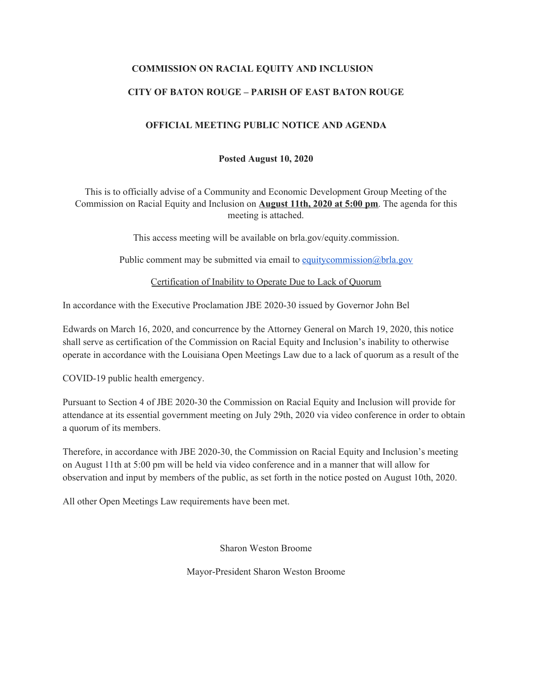## **COMMISSION ON RACIAL EQUITY AND INCLUSION**

## **CITY OF BATON ROUGE – PARISH OF EAST BATON ROUGE**

#### **OFFICIAL MEETING PUBLIC NOTICE AND AGENDA**

#### **Posted August 10, 2020**

This is to officially advise of a Community and Economic Development Group Meeting of the Commission on Racial Equity and Inclusion on **August 11th, 2020 at 5:00 pm**. The agenda for this meeting is attached.

This access meeting will be available on brla.gov/equity.commission.

Public comment may be submitted via email to [equitycommission@brla.gov](mailto:equitycommission@brla.gov)

Certification of Inability to Operate Due to Lack of Quorum

In accordance with the Executive Proclamation JBE 2020-30 issued by Governor John Bel

Edwards on March 16, 2020, and concurrence by the Attorney General on March 19, 2020, this notice shall serve as certification of the Commission on Racial Equity and Inclusion's inability to otherwise operate in accordance with the Louisiana Open Meetings Law due to a lack of quorum as a result of the

COVID-19 public health emergency.

Pursuant to Section 4 of JBE 2020-30 the Commission on Racial Equity and Inclusion will provide for attendance at its essential government meeting on July 29th, 2020 via video conference in order to obtain a quorum of its members.

Therefore, in accordance with JBE 2020-30, the Commission on Racial Equity and Inclusion's meeting on August 11th at 5:00 pm will be held via video conference and in a manner that will allow for observation and input by members of the public, as set forth in the notice posted on August 10th, 2020.

All other Open Meetings Law requirements have been met.

Sharon Weston Broome

Mayor-President Sharon Weston Broome